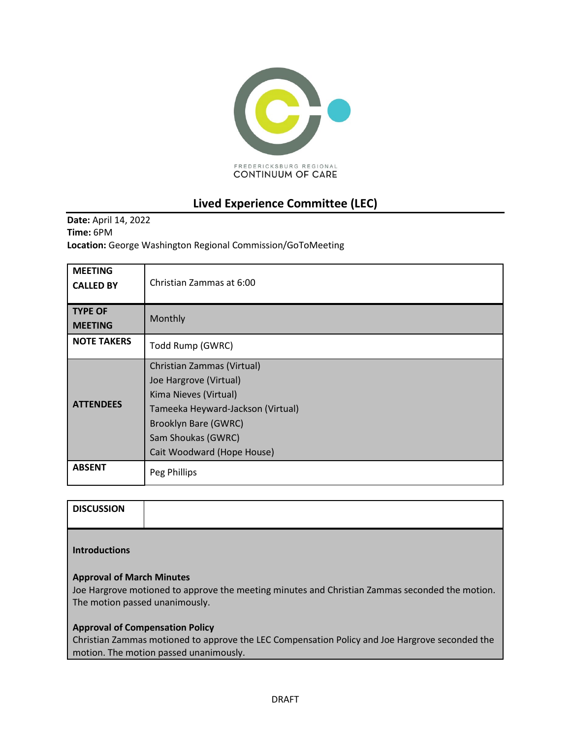

# **Lived Experience Committee (LEC)**

**Date:** April 14, 2022 **Time:** 6PM **Location:** George Washington Regional Commission/GoToMeeting

| <b>MEETING</b><br><b>CALLED BY</b> | Christian Zammas at 6:00                                                                                                                                                                              |
|------------------------------------|-------------------------------------------------------------------------------------------------------------------------------------------------------------------------------------------------------|
| <b>TYPE OF</b><br><b>MEETING</b>   | Monthly                                                                                                                                                                                               |
| <b>NOTE TAKERS</b>                 | Todd Rump (GWRC)                                                                                                                                                                                      |
| <b>ATTENDEES</b>                   | Christian Zammas (Virtual)<br>Joe Hargrove (Virtual)<br>Kima Nieves (Virtual)<br>Tameeka Heyward-Jackson (Virtual)<br><b>Brooklyn Bare (GWRC)</b><br>Sam Shoukas (GWRC)<br>Cait Woodward (Hope House) |
| <b>ABSENT</b>                      | Peg Phillips                                                                                                                                                                                          |

| <b>DISCUSSION</b> |  |
|-------------------|--|
|                   |  |

### **Introductions**

### **Approval of March Minutes**

Joe Hargrove motioned to approve the meeting minutes and Christian Zammas seconded the motion. The motion passed unanimously.

### **Approval of Compensation Policy**

Christian Zammas motioned to approve the LEC Compensation Policy and Joe Hargrove seconded the motion. The motion passed unanimously.